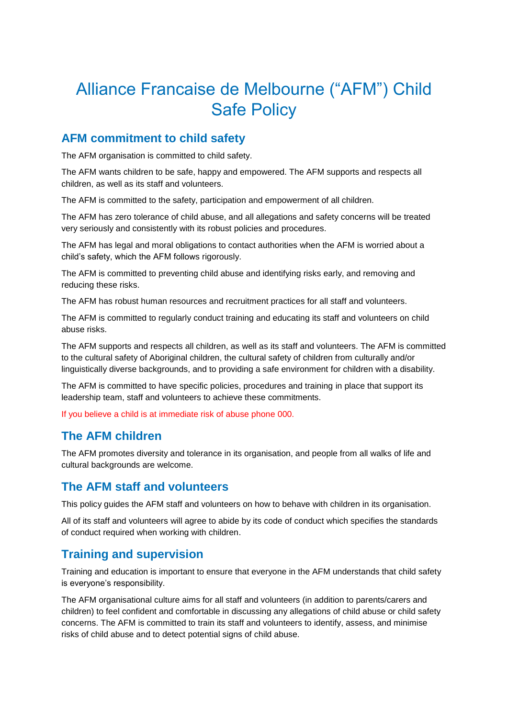# Alliance Francaise de Melbourne ("AFM") Child Safe Policy

## **AFM commitment to child safety**

The AFM organisation is committed to child safety.

The AFM wants children to be safe, happy and empowered. The AFM supports and respects all children, as well as its staff and volunteers.

The AFM is committed to the safety, participation and empowerment of all children.

The AFM has zero tolerance of child abuse, and all allegations and safety concerns will be treated very seriously and consistently with its robust policies and procedures.

The AFM has legal and moral obligations to contact authorities when the AFM is worried about a child's safety, which the AFM follows rigorously.

The AFM is committed to preventing child abuse and identifying risks early, and removing and reducing these risks.

The AFM has robust human resources and recruitment practices for all staff and volunteers.

The AFM is committed to regularly conduct training and educating its staff and volunteers on child abuse risks.

The AFM supports and respects all children, as well as its staff and volunteers. The AFM is committed to the cultural safety of Aboriginal children, the cultural safety of children from culturally and/or linguistically diverse backgrounds, and to providing a safe environment for children with a disability.

The AFM is committed to have specific policies, procedures and training in place that support its leadership team, staff and volunteers to achieve these commitments.

If you believe a child is at immediate risk of abuse phone 000.

# **The AFM children**

The AFM promotes diversity and tolerance in its organisation, and people from all walks of life and cultural backgrounds are welcome.

# **The AFM staff and volunteers**

This policy guides the AFM staff and volunteers on how to behave with children in its organisation.

All of its staff and volunteers will agree to abide by its code of conduct which specifies the standards of conduct required when working with children.

# **Training and supervision**

Training and education is important to ensure that everyone in the AFM understands that child safety is everyone's responsibility.

The AFM organisational culture aims for all staff and volunteers (in addition to parents/carers and children) to feel confident and comfortable in discussing any allegations of child abuse or child safety concerns. The AFM is committed to train its staff and volunteers to identify, assess, and minimise risks of child abuse and to detect potential signs of child abuse.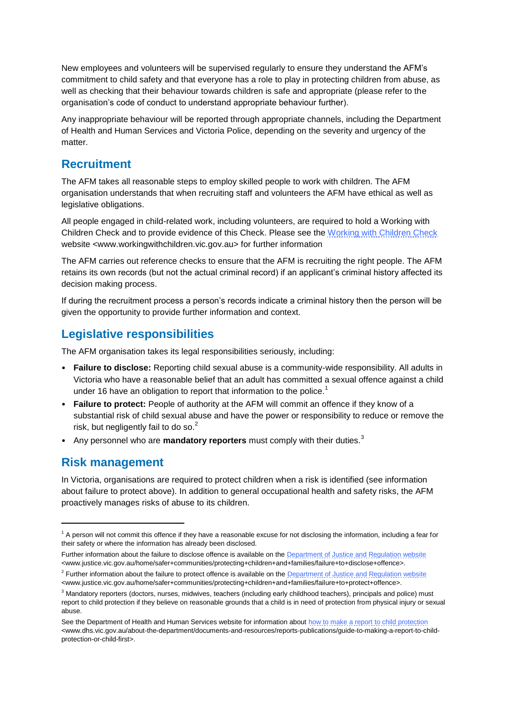New employees and volunteers will be supervised regularly to ensure they understand the AFM's commitment to child safety and that everyone has a role to play in protecting children from abuse, as well as checking that their behaviour towards children is safe and appropriate (please refer to the organisation's code of conduct to understand appropriate behaviour further).

Any inappropriate behaviour will be reported through appropriate channels, including the Department of Health and Human Services and Victoria Police, depending on the severity and urgency of the matter.

#### **Recruitment**

The AFM takes all reasonable steps to employ skilled people to work with children. The AFM organisation understands that when recruiting staff and volunteers the AFM have ethical as well as legislative obligations.

All people engaged in child-related work, including volunteers, are required to hold a Working with Children Check and to provide evidence of this Check. Please see the [Working with Children Check](http://www.workingwithchildren.vic.gov.au/) website <www.workingwithchildren.vic.gov.au> for further information

The AFM carries out reference checks to ensure that the AFM is recruiting the right people. The AFM retains its own records (but not the actual criminal record) if an applicant's criminal history affected its decision making process.

If during the recruitment process a person's records indicate a criminal history then the person will be given the opportunity to provide further information and context.

## **Legislative responsibilities**

The AFM organisation takes its legal responsibilities seriously, including:

- **Failure to disclose:** Reporting child sexual abuse is a community-wide responsibility. All adults in Victoria who have a reasonable belief that an adult has committed a sexual offence against a child under 16 have an obligation to report that information to the police.<sup>1</sup>
- **Failure to protect:** People of authority at the AFM will commit an offence if they know of a substantial risk of child sexual abuse and have the power or responsibility to reduce or remove the risk, but negligently fail to do so.<sup>2</sup>
- Any personnel who are **mandatory reporters** must comply with their duties.<sup>3</sup>

#### **Risk management**

**.** 

In Victoria, organisations are required to protect children when a risk is identified (see information about failure to protect above). In addition to general occupational health and safety risks, the AFM proactively manages risks of abuse to its children.

 $1$  A person will not commit this offence if they have a reasonable excuse for not disclosing the information, including a fear for their safety or where the information has already been disclosed.

Further information about the failure to disclose offence is available on the **Department of Justice and Regulation website** <www.justice.vic.gov.au/home/safer+communities/protecting+children+and+families/failure+to+disclose+offence>.

<sup>&</sup>lt;sup>2</sup> Further information about the failure to protect offence is available on th[e Department of Justice and Regulation website](http://www.justice.vic.gov.au/home/safer+communities/protecting+children+and+families/failure+to+protect+offence) <www.justice.vic.gov.au/home/safer+communities/protecting+children+and+families/failure+to+protect+offence>.

<sup>&</sup>lt;sup>3</sup> Mandatory reporters (doctors, nurses, midwives, teachers (including early childhood teachers), principals and police) must report to child protection if they believe on reasonable grounds that a child is in need of protection from physical injury or sexual abuse.

See the Department of Health and Human Services website for information abou[t how to make a report to child protection](http://www.dhs.vic.gov.au/about-the-department/documents-and-resources/reports-publications/guide-to-making-a-report-to-child-protection-or-child-first) <www.dhs.vic.gov.au/about-the-department/documents-and-resources/reports-publications/guide-to-making-a-report-to-childprotection-or-child-first>.